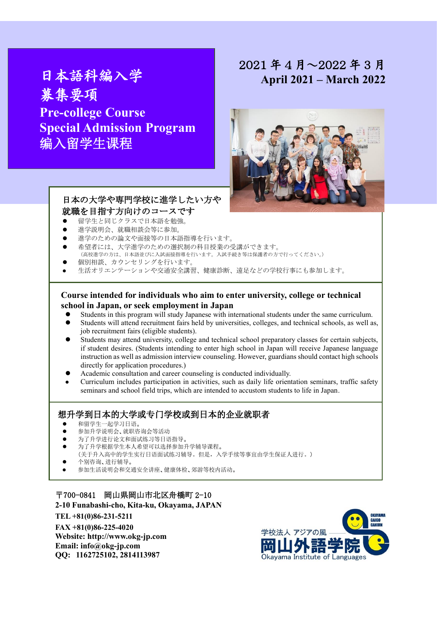# 日本語科編入学 募集要項 **Pre-college Course Special Admission Program** 编入留学生课程

## 2021 年 4 月~2022 年 3 月 **April 2021 – March 2022**



## 日本の大学や専門学校に進学したい方や 就職を目指す方向けのコースです

- 留学生と同じクラスで日本語を勉強。
- 進学説明会、就職相談会等に参加。
- 進学のための論文や面接等の日本語指導を行います。
- 希望者には、大学進学のための選択制の科目授業の受講ができます。 (高校進学の方は、日本語並びに入試面接指導を行います。入試手続き等は保護者の方で行ってください。)
- 個別相談、カウンセリングを行います。
- 生活オリエンテーションや交通安全講習、健康診断、遠足などの学校行事にも参加します。

### **Course intended for individuals who aim to enter university, college or technical school in Japan, or seek employment in Japan**

- Students in this program will study Japanese with international students under the same curriculum.
- Students will attend recruitment fairs held by universities, colleges, and technical schools, as well as, job recruitment fairs (eligible students).
- Students may attend university, college and technical school preparatory classes for certain subjects, if student desires. (Students intending to enter high school in Japan will receive Japanese language instruction as well as admission interview counseling. However, guardians should contact high schools directly for application procedures.)
- Academic consultation and career counseling is conducted individually.
- Curriculum includes participation in activities, such as daily life orientation seminars, traffic safety seminars and school field trips, which are intended to accustom students to life in Japan.

## 想升学到日本的大学或专门学校或到日本的企业就职者

- 和留学生一起学习日语。
- 参加升学说明会、就职咨询会等活动
- 为了升学进行论文和面试练习等日语指导。
- 为了升学根据学生本人希望可以选择参加升学辅导课程。
- (关于升入高中的学生实行日语面试练习辅导。但是,入学手续等事宜由学生保证人进行。)
- 个别咨询、进行辅导。
- 参加生活说明会和交通安全讲座、健康体检、郊游等校内活动。

〒700-0841 岡山県岡山市北区舟橋町 2-10 **2-10 Funabashi-cho, Kita-ku, Okayama, JAPAN TEL +81(0)86-231-5211 FAX +81(0)86-225-4020 Website: [http://www.okg-jp.com](http://www.okg-jp.com/) Email[: info@okg-jp.com](mailto:info@okg-jp.com) QQ: 1162725102, 2814113987**

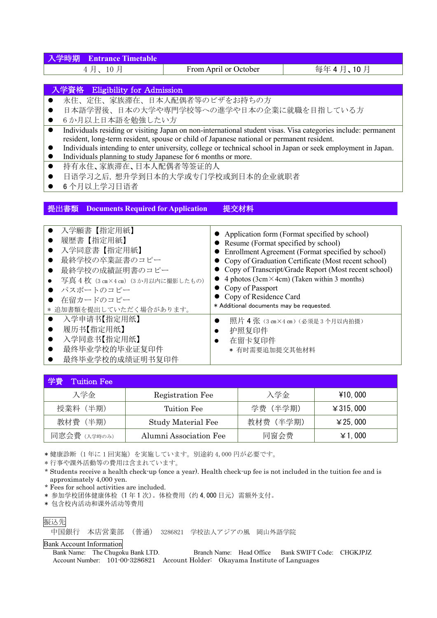| <b>Entrance Timetable</b><br>学時期                                                                                                                                                                       |                                          |                                                       |  |  |  |  |
|--------------------------------------------------------------------------------------------------------------------------------------------------------------------------------------------------------|------------------------------------------|-------------------------------------------------------|--|--|--|--|
| 4月、10月                                                                                                                                                                                                 | From April or October                    | 每年4月、10月                                              |  |  |  |  |
|                                                                                                                                                                                                        |                                          |                                                       |  |  |  |  |
| 入学資格                                                                                                                                                                                                   | <b>Eligibility for Admission</b>         |                                                       |  |  |  |  |
| 永住、定住、家族滞在、日本人配偶者等のビザをお持ちの方                                                                                                                                                                            |                                          |                                                       |  |  |  |  |
| 日本語学習後、日本の大学や専門学校等への進学や日本の企業に就職を目指している方                                                                                                                                                                |                                          |                                                       |  |  |  |  |
| 6か月以上日本語を勉強したい方<br>$\bullet$                                                                                                                                                                           |                                          |                                                       |  |  |  |  |
| Individuals residing or visiting Japan on non-international student visas. Visa categories include: permanent<br>$\bullet$                                                                             |                                          |                                                       |  |  |  |  |
| resident, long-term resident, spouse or child of Japanese national or permanent resident.                                                                                                              |                                          |                                                       |  |  |  |  |
| Individuals intending to enter university, college or technical school in Japan or seek employment in Japan.<br>$\bullet$<br>Individuals planning to study Japanese for 6 months or more.<br>$\bullet$ |                                          |                                                       |  |  |  |  |
| 持有永住、家族滞在、日本人配偶者等签证的人<br>$\bullet$                                                                                                                                                                     |                                          |                                                       |  |  |  |  |
| 日语学习之后, 想升学到日本的大学或专门学校或到日本的企业就职者                                                                                                                                                                       |                                          |                                                       |  |  |  |  |
| 6个月以上学习日语者                                                                                                                                                                                             |                                          |                                                       |  |  |  |  |
|                                                                                                                                                                                                        |                                          |                                                       |  |  |  |  |
| 提出書類<br><b>Documents Required for Application</b>                                                                                                                                                      | 提交材料                                     |                                                       |  |  |  |  |
|                                                                                                                                                                                                        |                                          |                                                       |  |  |  |  |
| 入学願書【指定用紙】                                                                                                                                                                                             |                                          |                                                       |  |  |  |  |
| 履歴書【指定用紙】                                                                                                                                                                                              |                                          | • Application form (Format specified by school)       |  |  |  |  |
| 入学同意書【指定用紙】                                                                                                                                                                                            | • Resume (Format specified by school)    | Enrollment Agreement (Format specified by school)     |  |  |  |  |
| 最終学校の卒業証書のコピー                                                                                                                                                                                          |                                          | Copy of Graduation Certificate (Most recent school)   |  |  |  |  |
| 最終学校の成績証明書のコピー<br>$\bullet$                                                                                                                                                                            |                                          | Copy of Transcript/Grade Report (Most recent school)  |  |  |  |  |
| 写真 4枚 (3 cm×4 cm) (3か月以内に撮影したもの)<br>$\bullet$                                                                                                                                                          |                                          | 4 photos ( $3cm \times 4cm$ ) (Taken within 3 months) |  |  |  |  |
| パスポートのコピー                                                                                                                                                                                              | Copy of Passport                         |                                                       |  |  |  |  |
| Copy of Residence Card<br>在留カードのコピー                                                                                                                                                                    |                                          |                                                       |  |  |  |  |
| * 追加書類を提出していただく場合があります。                                                                                                                                                                                | * Additional documents may be requested. |                                                       |  |  |  |  |
| 入学申请书【指定用纸】<br>$\bullet$                                                                                                                                                                               | $\bullet$                                | 照片 4 张 (3 cm×4 cm) (必须是3个月以内拍摄)                       |  |  |  |  |
| 履历书【指定用纸】                                                                                                                                                                                              | 护照复印件                                    |                                                       |  |  |  |  |
| 入学同意书【指定用纸】                                                                                                                                                                                            | 在留卡复印件                                   |                                                       |  |  |  |  |
| 最终毕业学校的毕业证复印件                                                                                                                                                                                          | * 有时需要追加提交其他材料                           |                                                       |  |  |  |  |

最终毕业学校的成绩证明书复印件

| Tuition Fee  |                        |           |                  |
|--------------|------------------------|-----------|------------------|
| 入学金          | Registration Fee       | 入学金       | ¥10,000          |
| 授業料 (半期)     | Tuition Fee            | 学费 (半学期)  | $\angle 315,000$ |
| 教材費 (半期)     | Study Material Fee     | 教材费 (半学期) | $\angle 25,000$  |
| 同窓会費 (入学時のみ) | Alumni Association Fee | 同窗会费      | ¥ 1,000          |

\* 健康診断(1 年に 1 回実施)を実施しています。別途約 4,000 円が必要です。

\* 行事や課外活動等の費用は含まれています。

\* Students receive a health check-up (once a year). Health check-up fee is not included in the tuition fee and is approximately 4,000 yen.

\* Fees for school activities are included.

\* 参加学校团体健康体检(1 年 1 次)。体检费用(约 4,000 日元)需额外支付。

\* 包含校内活动和课外活动等费用



#### Bank Account Information

Bank Name: The Chugoku Bank LTD. Branch Name: Head Office Bank SWIFT Code: CHGKJPJZ Account Number: 101-00-3286821 Account Holder: Okayama Institute of Languages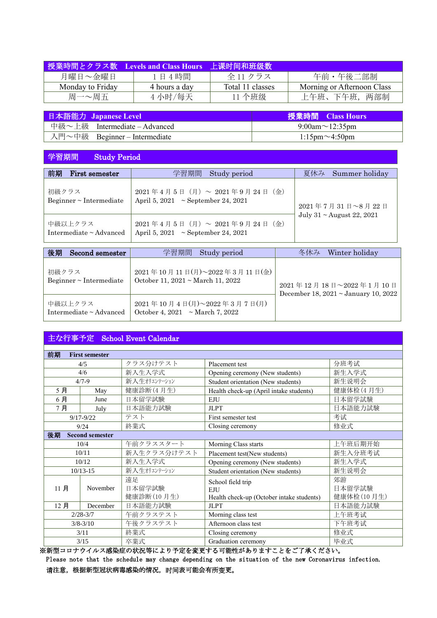|                  | 授業時間とクラス数 Levels and Class Hours | 上课时间和班级数         |                            |
|------------------|----------------------------------|------------------|----------------------------|
| 月曜日~金曜日          | 1日4時間                            | 全 11 クラス         | 午前・午後二部制                   |
| Monday to Friday | 4 hours a day                    | Total 11 classes | Morning or Afternoon Class |
| 周一~周五            | 4小时/每天                           | 11 个班级           | 上午班、下午班,两部制                |

| 日本語能力 Japanese Level          | 授業時間 Class Hours        |
|-------------------------------|-------------------------|
| 中級~上級 Intermediate – Advanced | 9:00am $\sim$ 12:35pm   |
| 入門~中級 Beginner – Intermediate | $1:15$ pm $\sim$ 4:50pm |

## 学習期間 Study Period

| 前期                                    | 学習期間                                                                                                                                                                         | 夏休み                            |
|---------------------------------------|------------------------------------------------------------------------------------------------------------------------------------------------------------------------------|--------------------------------|
| First semester                        | Study period                                                                                                                                                                 | Summer holiday                 |
| 初級クラス<br>Beginner $\sim$ Intermediate | $2021 \nleftrightarrow 4 \nparallel 5 \nparallel (\nparallel) \sim 2021 \nleftrightarrow 9 \nparallel 24 \nparallel (\ntriangle)$<br>April 5, 2021 $\sim$ September 24, 2021 | 2021年7月31日~8月22日               |
| 中級以上クラス<br>Intermediate ~ Advanced    | 2021年4月5日 (月) ~ 2021年9月24日 (金)<br>April 5, 2021 $\sim$ September 24, 2021                                                                                                    | July $31 \sim$ August 22, 2021 |
| 後期                                    | 学習期間                                                                                                                                                                         | Winter holiday                 |
| Second semester                       | Study period                                                                                                                                                                 | 冬休み                            |

| <b>IXTI</b>                             | 工日冽旧                                                          | $\sim$ $\mu$ $\sim$ $\mu$                   |
|-----------------------------------------|---------------------------------------------------------------|---------------------------------------------|
| <b>Decant semester</b>                  | Deaux portou                                                  | <i><b>WELLUCL HULLUAY</b></i>               |
| 初級クラス                                   | 2021年10月11日(月)~2022年3月11日(金)                                  | 2021年12月18日~2022年1月10日                      |
| Beginner $\sim$ Intermediate            | October 11, $2021 \sim \text{March } 11, 2022$                | December 18, $2021 \sim$ January 10, $2022$ |
| 中級以上クラス<br>Intermediate $\sim$ Advanced | 2021年10月4日(月)~2022年3月7日(月)<br>October 4, 2021 ~ March 7, 2022 |                                             |

## 主な行事予定 School Event Calendar

| 前期              | <b>First semester</b>  |              |                                           |            |  |
|-----------------|------------------------|--------------|-------------------------------------------|------------|--|
| クラス分けテスト<br>4/5 |                        |              | Placement test                            | 分班考试       |  |
| 4/6             |                        | 新入生入学式       | Opening ceremony (New students)           | 新生入学式      |  |
| $4/7 - 9$       |                        | 新入生オリエンテーション | Student orientation (New students)        | 新生说明会      |  |
| 5月              | May                    | 健康診断 (4月生)   | Health check-up (April intake students)   | 健康体检(4月生)  |  |
| 6月              | June                   | 日本留学試験       | EJU                                       | 日本留学試験     |  |
| 7月              | July                   | 日本語能力試験      | <b>JLPT</b>                               | 日本語能力試験    |  |
|                 | $9/17 - 9/22$          | テスト          | First semester test                       | 考试         |  |
|                 | 9/24                   | 終業式          | Closing ceremony                          | 修业式        |  |
| 後期              | <b>Second semester</b> |              |                                           |            |  |
|                 | 10/4                   | 午前クラススタート    | Morning Class starts                      | 上午班后期开始    |  |
|                 | 10/11                  | 新入生クラス分けテスト  | Placement test(New students)              | 新生入分班考试    |  |
|                 | 10/12                  | 新入生入学式       | Opening ceremony (New students)           | 新生入学式      |  |
|                 | $10/13 - 15$           | 新入生オリエンテーション | Student orientation (New students)        | 新生说明会      |  |
|                 |                        | 遠足           | School field trip                         | 郊游         |  |
| 11月             | November               | 日本留学試験       | <b>EJU</b>                                | 日本留学試験     |  |
|                 |                        | 健康診断(10月生)   | Health check-up (October intake students) | 健康体检(10月生) |  |
| 12月             | December               | 日本語能力試験      | <b>JLPT</b>                               | 日本語能力試験    |  |
| $2/28 - 3/7$    |                        | 午前クラステスト     | Morning class test                        | 上午班考试      |  |
| $3/8 - 3/10$    |                        | 午後クラステスト     | Afternoon class test                      | 下午班考试      |  |
| 3/11            |                        | 終業式          | Closing ceremony                          | 修业式        |  |
| 3/15            |                        | 卒業式          | Graduation ceremony                       | 毕业式        |  |

※新型コロナウイルス感染症の状況等により予定を変更する可能性がありますことをご了承ください。 Please note that the schedule may change depending on the situation of the new Coronavirus infection. 请注意,根据新型冠状病毒感染的情况,时间表可能会有所变更。